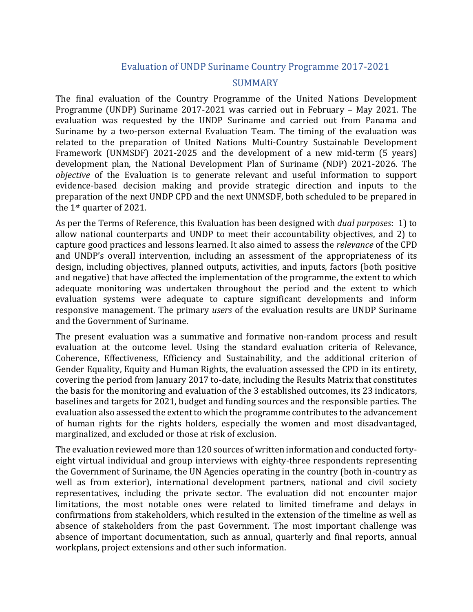## Evaluation of UNDP Suriname Country Programme 2017-2021

## SUMMARY

The final evaluation of the Country Programme of the United Nations Development Programme (UNDP) Suriname 2017-2021 was carried out in February – May 2021. The evaluation was requested by the UNDP Suriname and carried out from Panama and Suriname by a two-person external Evaluation Team. The timing of the evaluation was related to the preparation of United Nations Multi-Country Sustainable Development Framework (UNMSDF) 2021-2025 and the development of a new mid-term (5 years) development plan, the National Development Plan of Suriname (NDP) 2021-2026. The *objective* of the Evaluation is to generate relevant and useful information to support evidence-based decision making and provide strategic direction and inputs to the preparation of the next UNDP CPD and the next UNMSDF, both scheduled to be prepared in the 1st quarter of 2021.

As per the Terms of Reference, this Evaluation has been designed with *dual purposes*: 1) to allow national counterparts and UNDP to meet their accountability objectives, and 2) to capture good practices and lessons learned. It also aimed to assess the *relevance* of the CPD and UNDP's overall intervention, including an assessment of the appropriateness of its design, including objectives, planned outputs, activities, and inputs, factors (both positive and negative) that have affected the implementation of the programme, the extent to which adequate monitoring was undertaken throughout the period and the extent to which evaluation systems were adequate to capture significant developments and inform responsive management. The primary *users* of the evaluation results are UNDP Suriname and the Government of Suriname.

The present evaluation was a summative and formative non-random process and result evaluation at the outcome level. Using the standard evaluation criteria of Relevance, Coherence, Effectiveness, Efficiency and Sustainability, and the additional criterion of Gender Equality, Equity and Human Rights, the evaluation assessed the CPD in its entirety, covering the period from January 2017 to-date, including the Results Matrix that constitutes the basis for the monitoring and evaluation of the 3 established outcomes, its 23 indicators, baselines and targets for 2021, budget and funding sources and the responsible parties. The evaluation also assessed the extent to which the programme contributes to the advancement of human rights for the rights holders, especially the women and most disadvantaged, marginalized, and excluded or those at risk of exclusion.

The evaluation reviewed more than 120 sources of written information and conducted fortyeight virtual individual and group interviews with eighty-three respondents representing the Government of Suriname, the UN Agencies operating in the country (both in-country as well as from exterior), international development partners, national and civil society representatives, including the private sector. The evaluation did not encounter major limitations, the most notable ones were related to limited timeframe and delays in confirmations from stakeholders, which resulted in the extension of the timeline as well as absence of stakeholders from the past Government. The most important challenge was absence of important documentation, such as annual, quarterly and final reports, annual workplans, project extensions and other such information.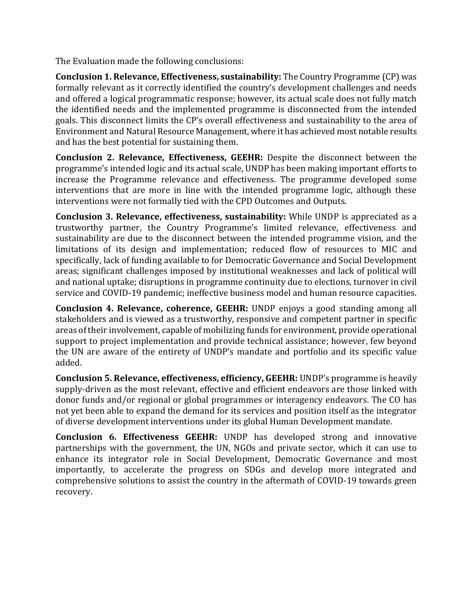The Evaluation made the following conclusions:

**Conclusion 1. Relevance, Effectiveness, sustainability:** The Country Programme (CP) was formally relevant as it correctly identified the country's development challenges and needs and offered a logical programmatic response; however, its actual scale does not fully match the identified needs and the implemented programme is disconnected from the intended goals. This disconnect limits the CP's overall effectiveness and sustainability to the area of Environment and Natural Resource Management, where it has achieved most notable results and has the best potential for sustaining them.

**Conclusion 2. Relevance, Effectiveness, GEEHR:** Despite the disconnect between the programme's intended logic and its actual scale, UNDP has been making important efforts to increase the Programme relevance and effectiveness. The programme developed some interventions that are more in line with the intended programme logic, although these interventions were not formally tied with the CPD Outcomes and Outputs.

**Conclusion 3. Relevance, effectiveness, sustainability:** While UNDP is appreciated as a trustworthy partner, the Country Programme's limited relevance, effectiveness and sustainability are due to the disconnect between the intended programme vision, and the limitations of its design and implementation; reduced flow of resources to MIC and specifically, lack of funding available to for Democratic Governance and Social Development areas; significant challenges imposed by institutional weaknesses and lack of political will and national uptake; disruptions in programme continuity due to elections, turnover in civil service and COVID-19 pandemic; ineffective business model and human resource capacities.

**Conclusion 4. Relevance, coherence, GEEHR:** UNDP enjoys a good standing among all stakeholders and is viewed as a trustworthy, responsive and competent partner in specific areas of their involvement, capable of mobilizing funds for environment, provide operational support to project implementation and provide technical assistance; however, few beyond the UN are aware of the entirety of UNDP's mandate and portfolio and its specific value added.

**Conclusion 5. Relevance, effectiveness, efficiency, GEEHR:** UNDP's programme is heavily supply-driven as the most relevant, effective and efficient endeavors are those linked with donor funds and/or regional or global programmes or interagency endeavors. The CO has not yet been able to expand the demand for its services and position itself as the integrator of diverse development interventions under its global Human Development mandate.

**Conclusion 6. Effectiveness GEEHR:** UNDP has developed strong and innovative partnerships with the government, the UN, NGOs and private sector, which it can use to enhance its integrator role in Social Development, Democratic Governance and most importantly, to accelerate the progress on SDGs and develop more integrated and comprehensive solutions to assist the country in the aftermath of COVID-19 towards green recovery.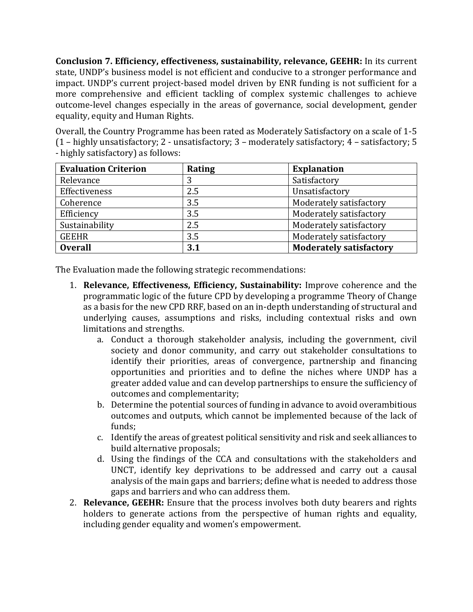**Conclusion 7. Efficiency, effectiveness, sustainability, relevance, GEEHR:** In its current state, UNDP's business model is not efficient and conducive to a stronger performance and impact. UNDP's current project-based model driven by ENR funding is not sufficient for a more comprehensive and efficient tackling of complex systemic challenges to achieve outcome-level changes especially in the areas of governance, social development, gender equality, equity and Human Rights.

Overall, the Country Programme has been rated as Moderately Satisfactory on a scale of 1-5 (1 – highly unsatisfactory; 2 - unsatisfactory; 3 – moderately satisfactory; 4 – satisfactory; 5 - highly satisfactory) as follows:

| <b>Evaluation Criterion</b> | Rating | <b>Explanation</b>             |
|-----------------------------|--------|--------------------------------|
| Relevance                   | 3      | Satisfactory                   |
| Effectiveness               | 2.5    | Unsatisfactory                 |
| Coherence                   | 3.5    | Moderately satisfactory        |
| Efficiency                  | 3.5    | Moderately satisfactory        |
| Sustainability              | 2.5    | Moderately satisfactory        |
| <b>GEEHR</b>                | 3.5    | Moderately satisfactory        |
| <b>Overall</b>              | 3.1    | <b>Moderately satisfactory</b> |

The Evaluation made the following strategic recommendations:

- 1. **Relevance, Effectiveness, Efficiency, Sustainability:** Improve coherence and the programmatic logic of the future CPD by developing a programme Theory of Change as a basis for the new CPD RRF, based on an in-depth understanding of structural and underlying causes, assumptions and risks, including contextual risks and own limitations and strengths.
	- a. Conduct a thorough stakeholder analysis, including the government, civil society and donor community, and carry out stakeholder consultations to identify their priorities, areas of convergence, partnership and financing opportunities and priorities and to define the niches where UNDP has a greater added value and can develop partnerships to ensure the sufficiency of outcomes and complementarity;
	- b. Determine the potential sources of funding in advance to avoid overambitious outcomes and outputs, which cannot be implemented because of the lack of funds;
	- c. Identify the areas of greatest political sensitivity and risk and seek alliances to build alternative proposals;
	- d. Using the findings of the CCA and consultations with the stakeholders and UNCT, identify key deprivations to be addressed and carry out a causal analysis of the main gaps and barriers; define what is needed to address those gaps and barriers and who can address them.
- 2. **Relevance, GEEHR:** Ensure that the process involves both duty bearers and rights holders to generate actions from the perspective of human rights and equality, including gender equality and women's empowerment.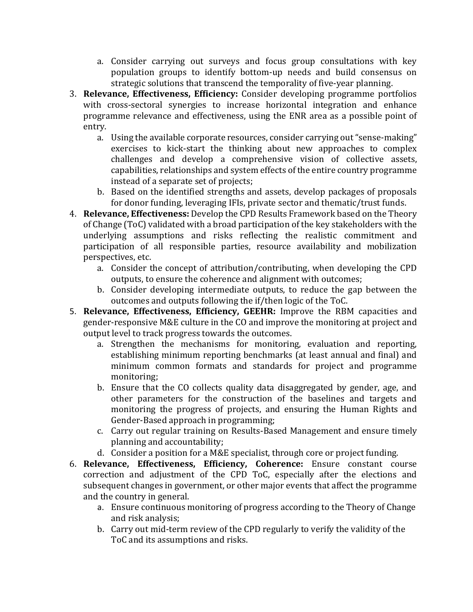- a. Consider carrying out surveys and focus group consultations with key population groups to identify bottom-up needs and build consensus on strategic solutions that transcend the temporality of five-year planning.
- 3. **Relevance, Effectiveness, Efficiency:** Consider developing programme portfolios with cross-sectoral synergies to increase horizontal integration and enhance programme relevance and effectiveness, using the ENR area as a possible point of entry.
	- a. Using the available corporate resources, consider carrying out "sense-making" exercises to kick-start the thinking about new approaches to complex challenges and develop a comprehensive vision of collective assets, capabilities, relationships and system effects of the entire country programme instead of a separate set of projects;
	- b. Based on the identified strengths and assets, develop packages of proposals for donor funding, leveraging IFIs, private sector and thematic/trust funds.
- 4. **Relevance, Effectiveness:** Develop the CPD Results Framework based on the Theory of Change (ToC) validated with a broad participation of the key stakeholders with the underlying assumptions and risks reflecting the realistic commitment and participation of all responsible parties, resource availability and mobilization perspectives, etc.
	- a. Consider the concept of attribution/contributing, when developing the CPD outputs, to ensure the coherence and alignment with outcomes;
	- b. Consider developing intermediate outputs, to reduce the gap between the outcomes and outputs following the if/then logic of the ToC.
- 5. **Relevance, Effectiveness, Efficiency, GEEHR:** Improve the RBM capacities and gender-responsive M&E culture in the CO and improve the monitoring at project and output level to track progress towards the outcomes.
	- a. Strengthen the mechanisms for monitoring, evaluation and reporting, establishing minimum reporting benchmarks (at least annual and final) and minimum common formats and standards for project and programme monitoring;
	- b. Ensure that the CO collects quality data disaggregated by gender, age, and other parameters for the construction of the baselines and targets and monitoring the progress of projects, and ensuring the Human Rights and Gender-Based approach in programming;
	- c. Carry out regular training on Results-Based Management and ensure timely planning and accountability;
	- d. Consider a position for a M&E specialist, through core or project funding.
- 6. **Relevance, Effectiveness, Efficiency, Coherence:** Ensure constant course correction and adjustment of the CPD ToC, especially after the elections and subsequent changes in government, or other major events that affect the programme and the country in general.
	- a. Ensure continuous monitoring of progress according to the Theory of Change and risk analysis;
	- b. Carry out mid-term review of the CPD regularly to verify the validity of the ToC and its assumptions and risks.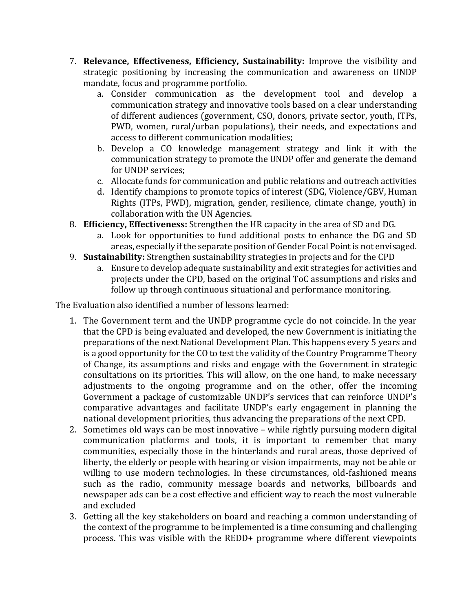- 7. **Relevance, Effectiveness, Efficiency, Sustainability:** Improve the visibility and strategic positioning by increasing the communication and awareness on UNDP mandate, focus and programme portfolio.
	- a. Consider communication as the development tool and develop a communication strategy and innovative tools based on a clear understanding of different audiences (government, CSO, donors, private sector, youth, ITPs, PWD, women, rural/urban populations), their needs, and expectations and access to different communication modalities;
	- b. Develop a CO knowledge management strategy and link it with the communication strategy to promote the UNDP offer and generate the demand for UNDP services;
	- c. Allocate funds for communication and public relations and outreach activities
	- d. Identify champions to promote topics of interest (SDG, Violence/GBV, Human Rights (ITPs, PWD), migration, gender, resilience, climate change, youth) in collaboration with the UN Agencies.
- 8. **Efficiency, Effectiveness:** Strengthen the HR capacity in the area of SD and DG.
	- a. Look for opportunities to fund additional posts to enhance the DG and SD areas, especially if the separate position of Gender Focal Point is not envisaged.
- 9. **Sustainability:** Strengthen sustainability strategies in projects and for the CPD
	- a. Ensure to develop adequate sustainability and exit strategies for activities and projects under the CPD, based on the original ToC assumptions and risks and follow up through continuous situational and performance monitoring.

The Evaluation also identified a number of lessons learned:

- 1. The Government term and the UNDP programme cycle do not coincide. In the year that the CPD is being evaluated and developed, the new Government is initiating the preparations of the next National Development Plan. This happens every 5 years and is a good opportunity for the CO to test the validity of the Country Programme Theory of Change, its assumptions and risks and engage with the Government in strategic consultations on its priorities. This will allow, on the one hand, to make necessary adjustments to the ongoing programme and on the other, offer the incoming Government a package of customizable UNDP's services that can reinforce UNDP's comparative advantages and facilitate UNDP's early engagement in planning the national development priorities, thus advancing the preparations of the next CPD.
- 2. Sometimes old ways can be most innovative while rightly pursuing modern digital communication platforms and tools, it is important to remember that many communities, especially those in the hinterlands and rural areas, those deprived of liberty, the elderly or people with hearing or vision impairments, may not be able or willing to use modern technologies. In these circumstances, old-fashioned means such as the radio, community message boards and networks, billboards and newspaper ads can be a cost effective and efficient way to reach the most vulnerable and excluded
- 3. Getting all the key stakeholders on board and reaching a common understanding of the context of the programme to be implemented is a time consuming and challenging process. This was visible with the REDD+ programme where different viewpoints